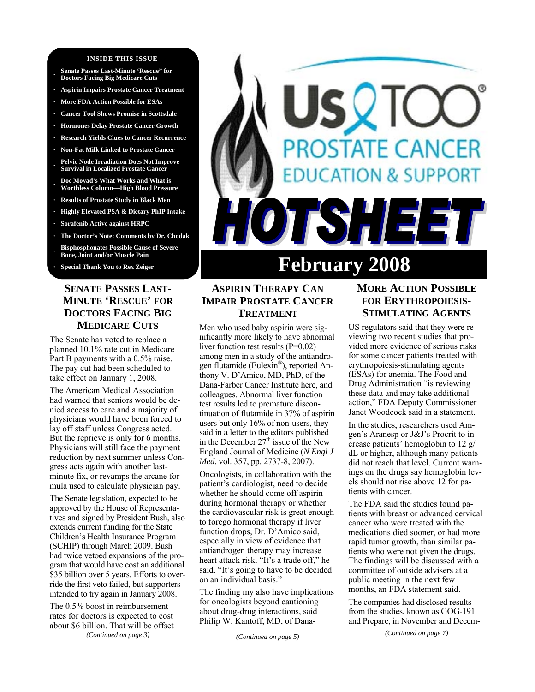#### **INSIDE THIS ISSUE**

- **· Senate Passes Last-Minute 'Rescue" for Doctors Facing Big Medicare Cuts**
- **· Aspirin Impairs Prostate Cancer Treatment**
- **· More FDA Action Possible for ESAs**
- **· Cancer Tool Shows Promise in Scottsdale**
- **· Hormones Delay Prostate Cancer Growth · Research Yields Clues to Cancer Recurrence**
- **· Non-Fat Milk Linked to Prostate Cancer**
- **· Pelvic Node Irradiation Does Not Improve Survival in Localized Prostate Cancer**
- **· Doc Moyad's What Works and What is Worthless Column—High Blood Pressure**
- **· Results of Prostate Study in Black Men**
- **· Highly Elevated PSA & Dietary PhIP Intake**
- **· Sorafenib Active against HRPC**
- **· The Doctor's Note: Comments by Dr. Chodak**
- **· Bisphosphonates Possible Cause of Severe Bone, Joint and/or Muscle Pain**
- **· Special Thank You to Rex Zeiger**

## **SENATE PASSES LAST-MINUTE 'RESCUE' FOR DOCTORS FACING BIG MEDICARE CUTS**

The Senate has voted to replace a planned 10.1% rate cut in Medicare Part B payments with a 0.5% raise. The pay cut had been scheduled to take effect on January 1, 2008.

The American Medical Association had warned that seniors would be denied access to care and a majority of physicians would have been forced to lay off staff unless Congress acted. But the reprieve is only for 6 months. Physicians will still face the payment reduction by next summer unless Congress acts again with another lastminute fix, or revamps the arcane formula used to calculate physician pay.

The Senate legislation, expected to be approved by the House of Representatives and signed by President Bush, also extends current funding for the State Children's Health Insurance Program (SCHIP) through March 2009. Bush had twice vetoed expansions of the program that would have cost an additional \$35 billion over 5 years. Efforts to override the first veto failed, but supporters intended to try again in January 2008.

The 0.5% boost in reimbursement rates for doctors is expected to cost about \$6 billion. That will be offset *(Continued on page 3)* 

# **DSTATE CANCER ION & SUPPORT** ISHEET **February 2008**

## **ASPIRIN THERAPY CAN IMPAIR PROSTATE CANCER TREATMENT**

Men who used baby aspirin were significantly more likely to have abnormal liver function test results (P=0.02) among men in a study of the antiandrogen flutamide (Eulexin®), reported Anthony V. D'Amico, MD, PhD, of the Dana-Farber Cancer Institute here, and colleagues. Abnormal liver function test results led to premature discontinuation of flutamide in 37% of aspirin users but only 16% of non-users, they said in a letter to the editors published in the December  $27<sup>th</sup>$  issue of the New England Journal of Medicine (*N Engl J Med*, vol. 357, pp. 2737-8, 2007).

Oncologists, in collaboration with the patient's cardiologist, need to decide whether he should come off aspirin during hormonal therapy or whether the cardiovascular risk is great enough to forego hormonal therapy if liver function drops, Dr. D'Amico said, especially in view of evidence that antiandrogen therapy may increase heart attack risk. "It's a trade off," he said. "It's going to have to be decided on an individual basis."

The finding my also have implications for oncologists beyond cautioning about drug-drug interactions, said Philip W. Kantoff, MD, of Dana-

## **MORE ACTION POSSIBLE FOR ERYTHROPOIESIS-STIMULATING AGENTS**

US regulators said that they were reviewing two recent studies that provided more evidence of serious risks for some cancer patients treated with erythropoiesis-stimulating agents (ESAs) for anemia. The Food and Drug Administration "is reviewing these data and may take additional action," FDA Deputy Commissioner Janet Woodcock said in a statement.

In the studies, researchers used Amgen's Aranesp or J&J's Procrit to increase patients' hemoglobin to 12 g/ dL or higher, although many patients did not reach that level. Current warnings on the drugs say hemoglobin levels should not rise above 12 for patients with cancer.

The FDA said the studies found patients with breast or advanced cervical cancer who were treated with the medications died sooner, or had more rapid tumor growth, than similar patients who were not given the drugs. The findings will be discussed with a committee of outside advisers at a public meeting in the next few months, an FDA statement said.

The companies had disclosed results from the studies, known as GOG-191 and Prepare, in November and Decem-

*(Continued on page 7)* 

*<sup>(</sup>Continued on page 5)*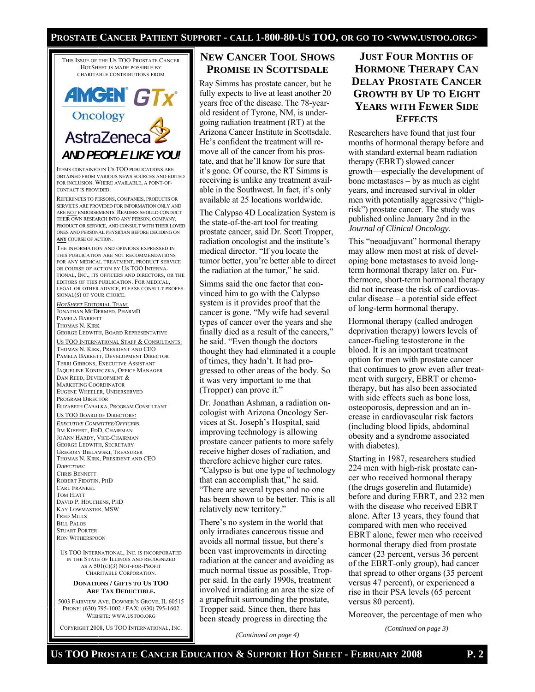#### **PROSTATE CANCER PATIENT SUPPORT - CALL 1-800-80-US TOO, OR GO TO <WWW.USTOO.ORG>**

THIS ISSUE OF THE US TOO PROSTATE CANCER HOTSHEET IS MADE POSSIBLE BY CHARITABLE CONTRIBUTIONS FROM

# **AMGEN GTX** Oncology AstraZeneca *AND PEOPLE LIKE YOU!*

ITEMS CONTAINED IN US TOO PUBLICATIONS ARE OBTAINED FROM VARIOUS NEWS SOURCES AND EDITED FOR INCLUSION. WHERE AVAILABLE, A POINT-OF-CONTACT IS PROVIDED.

REFERENCES TO PERSONS, COMPANIES, PRODUCTS OR SERVICES ARE PROVIDED FOR INFORMATION ONLY AND ARE NOT ENDORSEMENTS. READERS SHOULD CONDUCT THEIR OWN RESEARCH INTO ANY PERSON, COMPANY, PRODUCT OR SERVICE, AND CONSULT WITH THEIR LOVED ONES AND PERSONAL PHYSICIAN BEFORE DECIDING ON **ANY** COURSE OF ACTION.

THE INFORMATION AND OPINIONS EXPRESSED IN THIS PUBLICATION ARE NOT RECOMMENDATIONS FOR ANY MEDICAL TREATMENT, PRODUCT SERVICE OR COURSE OF ACTION BY US TOO INTERNA-TIONAL, INC., ITS OFFICERS AND DIRECTORS, OR THE EDITORS OF THIS PUBLICATION. FOR MEDICAL, LEGAL OR OTHER ADVICE, PLEASE CONSULT PROFES-SIONAL(S) OF YOUR CHOICE.

*HOTSHEET* EDITORIAL TEAM: JONATHAN MCDERMED, PHARMD PAMELA BARRETT THOMAS N. KIRK GEORGE LEDWITH, BOARD REPRESENTATIVE

US TOO INTERNATIONAL STAFF & CONSULTANTS: THOMAS N. KIRK, PRESIDENT AND CEO PAMELA BARRETT, DEVELOPMENT DIRECTOR TERRI GIBBONS, EXECUTIVE ASSISTANT JAQUELINE KONIECZKA, OFFICE MANAGER DAN REED, DEVELOPMENT & MARKETING COORDINATOR EUGENE WHEELER, UNDERSERVED PROGRAM DIRECTOR ELIZABETH CABALKA, PROGRAM CONSULTANT US TOO BOARD OF DIRECTORS: *EXECUTIVE COMMITTEE/OFFICERS* JIM KIEFERT, EDD, CHAIRMAN JOANN HARDY, VICE-CHAIRMAN

GEORGE LEDWITH, SECRETARY GREGORY BIELAWSKI, TREASURER THOMAS N. KIRK, PRESIDENT AND CEO *DIRECTORS:*  CHRIS BENNETT ROBERT FIDOTIN, PHD CARL FRANKEL TOM HIATT DAVID P. HOUCHENS, PHD KAY LOWMASTER, MSW FRED MILLS BILL PALOS STUART PORTER RON WITHERSPOON

US TOO INTERNATIONAL, INC. IS INCORPORATED IN THE STATE OF ILLINOIS AND RECOGNIZED AS A 501(C)(3) NOT-FOR-PROFIT CHARITABLE CORPORATION.

#### **DONATIONS / GIFTS TO US TOO ARE TAX DEDUCTIBLE.**

5003 FAIRVIEW AVE. DOWNER'S GROVE, IL 60515 PHONE: (630) 795-1002 / FAX: (630) 795-1602 WEBSITE: WWW.USTOO.ORG

COPYRIGHT 2008, US TOO INTERNATIONAL, INC.

## **NEW CANCER TOOL SHOWS PROMISE IN SCOTTSDALE**

Ray Simms has prostate cancer, but he fully expects to live at least another 20 years free of the disease. The 78-yearold resident of Tyrone, NM, is undergoing radiation treatment (RT) at the Arizona Cancer Institute in Scottsdale. He's confident the treatment will remove all of the cancer from his prostate, and that he'll know for sure that it's gone. Of course, the RT Simms is receiving is unlike any treatment available in the Southwest. In fact, it's only available at 25 locations worldwide.

The Calypso 4D Localization System is the state-of-the-art tool for treating prostate cancer, said Dr. Scott Tropper, radiation oncologist and the institute's medical director. "If you locate the tumor better, you're better able to direct the radiation at the tumor," he said.

Simms said the one factor that convinced him to go with the Calypso system is it provides proof that the cancer is gone. "My wife had several types of cancer over the years and she finally died as a result of the cancers," he said. "Even though the doctors thought they had eliminated it a couple of times, they hadn't. It had progressed to other areas of the body. So it was very important to me that (Tropper) can prove it."

Dr. Jonathan Ashman, a radiation oncologist with Arizona Oncology Services at St. Joseph's Hospital, said improving technology is allowing prostate cancer patients to more safely receive higher doses of radiation, and therefore achieve higher cure rates. "Calypso is but one type of technology that can accomplish that," he said. "There are several types and no one has been shown to be better. This is all relatively new territory."

There's no system in the world that only irradiates cancerous tissue and avoids all normal tissue, but there's been vast improvements in directing radiation at the cancer and avoiding as much normal tissue as possible, Tropper said. In the early 1990s, treatment involved irradiating an area the size of a grapefruit surrounding the prostate, Tropper said. Since then, there has been steady progress in directing the

*(Continued on page 4)* 

## **JUST FOUR MONTHS OF HORMONE THERAPY CAN DELAY PROSTATE CANCER GROWTH BY UP TO EIGHT YEARS WITH FEWER SIDE EFFECTS**

Researchers have found that just four months of hormonal therapy before and with standard external beam radiation therapy (EBRT) slowed cancer growth—especially the development of bone metastases – by as much as eight years, and increased survival in older men with potentially aggressive ("highrisk") prostate cancer. The study was published online January 2nd in the *Journal of Clinical Oncology*.

This "neoadjuvant" hormonal therapy may allow men most at risk of developing bone metastases to avoid longterm hormonal therapy later on. Furthermore, short-term hormonal therapy did not increase the risk of cardiovascular disease – a potential side effect of long-term hormonal therapy.

Hormonal therapy (called androgen deprivation therapy) lowers levels of cancer-fueling testosterone in the blood. It is an important treatment option for men with prostate cancer that continues to grow even after treatment with surgery, EBRT or chemotherapy, but has also been associated with side effects such as bone loss, osteoporosis, depression and an increase in cardiovascular risk factors (including blood lipids, abdominal obesity and a syndrome associated with diabetes).

Starting in 1987, researchers studied 224 men with high-risk prostate cancer who received hormonal therapy (the drugs goserelin and flutamide) before and during EBRT, and 232 men with the disease who received EBRT alone. After 13 years, they found that compared with men who received EBRT alone, fewer men who received hormonal therapy died from prostate cancer (23 percent, versus 36 percent of the EBRT-only group), had cancer that spread to other organs (35 percent versus 47 percent), or experienced a rise in their PSA levels (65 percent versus 80 percent).

Moreover, the percentage of men who

*(Continued on page 3)*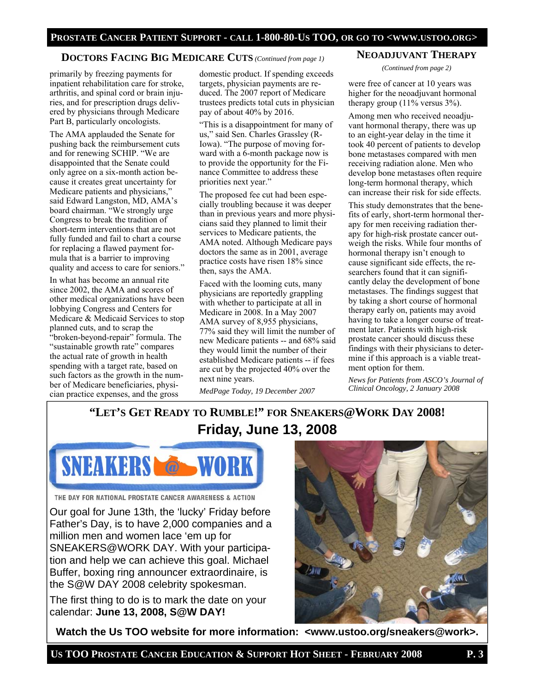## **DOCTORS FACING BIG MEDICARE CUTS** *(Continued from page 1)*

inpatient rehabilitation care for stroke, arthritis, and spinal cord or brain injuries, and for prescription drugs delivered by physicians through Medicare Part B, particularly oncologists.

The AMA applauded the Senate for pushing back the reimbursement cuts and for renewing SCHIP. "We are disappointed that the Senate could only agree on a six-month action because it creates great uncertainty for Medicare patients and physicians," said Edward Langston, MD, AMA's board chairman. "We strongly urge Congress to break the tradition of short-term interventions that are not fully funded and fail to chart a course for replacing a flawed payment formula that is a barrier to improving quality and access to care for seniors."

In what has become an annual rite since 2002, the AMA and scores of other medical organizations have been lobbying Congress and Centers for Medicare & Medicaid Services to stop planned cuts, and to scrap the "broken-beyond-repair" formula. The "sustainable growth rate" compares the actual rate of growth in health spending with a target rate, based on such factors as the growth in the number of Medicare beneficiaries, physician practice expenses, and the gross

domestic product. If spending exceeds *(Continued from page 2)* primarily by freezing payments for targets, physician payments are reduced. The 2007 report of Medicare trustees predicts total cuts in physician pay of about 40% by 2016.

> "This is a disappointment for many of us," said Sen. Charles Grassley (R-Iowa). "The purpose of moving forward with a 6-month package now is to provide the opportunity for the Finance Committee to address these priorities next year."

> The proposed fee cut had been especially troubling because it was deeper than in previous years and more physicians said they planned to limit their services to Medicare patients, the AMA noted. Although Medicare pays doctors the same as in 2001, average practice costs have risen 18% since then, says the AMA.

Faced with the looming cuts, many physicians are reportedly grappling with whether to participate at all in Medicare in 2008. In a May 2007 AMA survey of 8,955 physicians, 77% said they will limit the number of new Medicare patients -- and 68% said they would limit the number of their established Medicare patients -- if fees are cut by the projected 40% over the next nine years.

*MedPage Today, 19 December 2007* 

#### **NEOADJUVANT THERAPY**

were free of cancer at 10 years was higher for the neoadjuvant hormonal therapy group  $(11\% \text{ versus } 3\%)$ .

Among men who received neoadjuvant hormonal therapy, there was up to an eight-year delay in the time it took 40 percent of patients to develop bone metastases compared with men receiving radiation alone. Men who develop bone metastases often require long-term hormonal therapy, which can increase their risk for side effects.

This study demonstrates that the benefits of early, short-term hormonal therapy for men receiving radiation therapy for high-risk prostate cancer outweigh the risks. While four months of hormonal therapy isn't enough to cause significant side effects, the researchers found that it can significantly delay the development of bone metastases. The findings suggest that by taking a short course of hormonal therapy early on, patients may avoid having to take a longer course of treatment later. Patients with high-risk prostate cancer should discuss these findings with their physicians to determine if this approach is a viable treatment option for them.

*News for Patients from ASCO's Journal of Clinical Oncology, 2 January 2008* 

## **"LET'S GET READY TO RUMBLE!" FOR SNEAKERS@WORK DAY 2008! Friday, June 13, 2008**



THE DAY FOR NATIONAL PROSTATE CANCER AWARENESS & ACTION

Our goal for June 13th, the 'lucky' Friday before Father's Day, is to have 2,000 companies and a million men and women lace 'em up for SNEAKERS@WORK DAY. With your participation and help we can achieve this goal. Michael Buffer, boxing ring announcer extraordinaire, is the S@W DAY 2008 celebrity spokesman.

The first thing to do is to mark the date on your calendar: **June 13, 2008, S@W DAY!** 



**Watch the Us TOO website for more information: <www.ustoo.org/sneakers@work>.**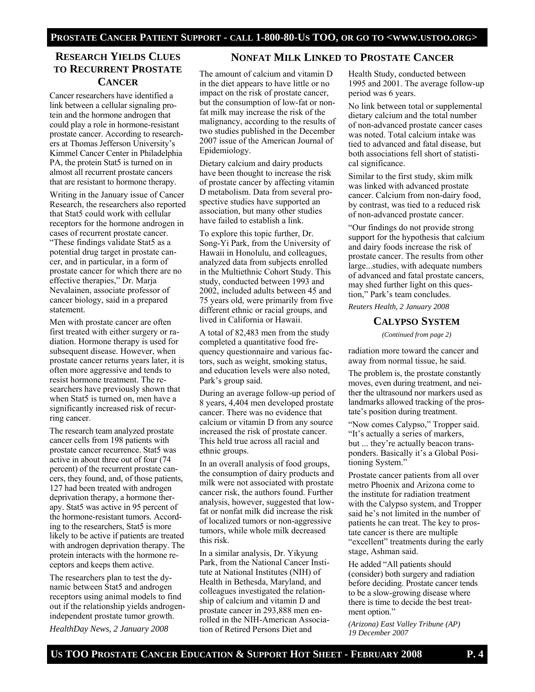## **RESEARCH YIELDS CLUES TO RECURRENT PROSTATE CANCER**

Cancer researchers have identified a link between a cellular signaling protein and the hormone androgen that could play a role in hormone-resistant prostate cancer. According to researchers at Thomas Jefferson University's Kimmel Cancer Center in Philadelphia PA, the protein Stat5 is turned on in almost all recurrent prostate cancers that are resistant to hormone therapy.

Writing in the January issue of Cancer Research, the researchers also reported that Stat5 could work with cellular receptors for the hormone androgen in cases of recurrent prostate cancer. "These findings validate Stat5 as a potential drug target in prostate cancer, and in particular, in a form of prostate cancer for which there are no effective therapies," Dr. Marja Nevalainen, associate professor of cancer biology, said in a prepared statement.

Men with prostate cancer are often first treated with either surgery or radiation. Hormone therapy is used for subsequent disease. However, when prostate cancer returns years later, it is often more aggressive and tends to resist hormone treatment. The researchers have previously shown that when Stat5 is turned on, men have a significantly increased risk of recurring cancer.

The research team analyzed prostate cancer cells from 198 patients with prostate cancer recurrence. Stat5 was active in about three out of four (74 percent) of the recurrent prostate cancers, they found, and, of those patients, 127 had been treated with androgen deprivation therapy, a hormone therapy. Stat5 was active in 95 percent of the hormone-resistant tumors. According to the researchers, Stat5 is more likely to be active if patients are treated with androgen deprivation therapy. The protein interacts with the hormone receptors and keeps them active.

The researchers plan to test the dynamic between Stat5 and androgen receptors using animal models to find out if the relationship yields androgenindependent prostate tumor growth.

*HealthDay News, 2 January 2008* 

## **NONFAT MILK LINKED TO PROSTATE CANCER**

The amount of calcium and vitamin D in the diet appears to have little or no impact on the risk of prostate cancer, but the consumption of low-fat or nonfat milk may increase the risk of the malignancy, according to the results of two studies published in the December 2007 issue of the American Journal of Epidemiology.

Dietary calcium and dairy products have been thought to increase the risk of prostate cancer by affecting vitamin D metabolism. Data from several prospective studies have supported an association, but many other studies have failed to establish a link.

To explore this topic further, Dr. Song-Yi Park, from the University of Hawaii in Honolulu, and colleagues, analyzed data from subjects enrolled in the Multiethnic Cohort Study. This study, conducted between 1993 and 2002, included adults between 45 and 75 years old, were primarily from five different ethnic or racial groups, and lived in California or Hawaii.

A total of 82,483 men from the study completed a quantitative food frequency questionnaire and various factors, such as weight, smoking status, and education levels were also noted, Park's group said.

During an average follow-up period of 8 years, 4,404 men developed prostate cancer. There was no evidence that calcium or vitamin D from any source increased the risk of prostate cancer. This held true across all racial and ethnic groups.

In an overall analysis of food groups, the consumption of dairy products and milk were not associated with prostate cancer risk, the authors found. Further analysis, however, suggested that lowfat or nonfat milk did increase the risk of localized tumors or non-aggressive tumors, while whole milk decreased this risk.

In a similar analysis, Dr. Yikyung Park, from the National Cancer Institute at National Institutes (NIH) of Health in Bethesda, Maryland, and colleagues investigated the relationship of calcium and vitamin D and prostate cancer in 293,888 men enrolled in the NIH-American Association of Retired Persons Diet and

Health Study, conducted between 1995 and 2001. The average follow-up period was 6 years.

No link between total or supplemental dietary calcium and the total number of non-advanced prostate cancer cases was noted. Total calcium intake was tied to advanced and fatal disease, but both associations fell short of statistical significance.

Similar to the first study, skim milk was linked with advanced prostate cancer. Calcium from non-dairy food, by contrast, was tied to a reduced risk of non-advanced prostate cancer.

"Our findings do not provide strong support for the hypothesis that calcium and dairy foods increase the risk of prostate cancer. The results from other large...studies, with adequate numbers of advanced and fatal prostate cancers, may shed further light on this question," Park's team concludes.

*Reuters Health, 2 January 2008* 

### **CALYPSO SYSTEM**

*(Continued from page 2)* 

radiation more toward the cancer and away from normal tissue, he said.

The problem is, the prostate constantly moves, even during treatment, and neither the ultrasound nor markers used as landmarks allowed tracking of the prostate's position during treatment.

"Now comes Calypso," Tropper said. "It's actually a series of markers, but ... they're actually beacon transponders. Basically it's a Global Positioning System."

Prostate cancer patients from all over metro Phoenix and Arizona come to the institute for radiation treatment with the Calypso system, and Tropper said he's not limited in the number of patients he can treat. The key to prostate cancer is there are multiple "excellent" treatments during the early stage, Ashman said.

He added "All patients should (consider) both surgery and radiation before deciding. Prostate cancer tends to be a slow-growing disease where there is time to decide the best treatment option."

*(Arizona) East Valley Tribune (AP) 19 December 2007*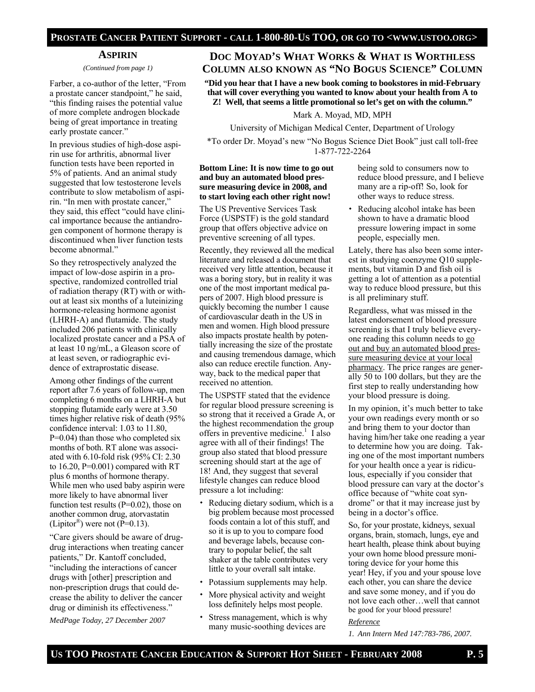#### **ASPIRIN**

*(Continued from page 1)* 

Farber, a co-author of the letter, "From a prostate cancer standpoint," he said, "this finding raises the potential value of more complete androgen blockade being of great importance in treating early prostate cancer."

In previous studies of high-dose aspirin use for arthritis, abnormal liver function tests have been reported in 5% of patients. And an animal study suggested that low testosterone levels contribute to slow metabolism of aspirin. "In men with prostate cancer," they said, this effect "could have clinical importance because the antiandrogen component of hormone therapy is discontinued when liver function tests become abnormal."

So they retrospectively analyzed the impact of low-dose aspirin in a prospective, randomized controlled trial of radiation therapy (RT) with or without at least six months of a luteinizing hormone-releasing hormone agonist (LHRH-A) and flutamide. The study included 206 patients with clinically localized prostate cancer and a PSA of at least 10 ng/mL, a Gleason score of at least seven, or radiographic evidence of extraprostatic disease.

Among other findings of the current report after 7.6 years of follow-up, men completing 6 months on a LHRH-A but stopping flutamide early were at 3.50 times higher relative risk of death (95% confidence interval: 1.03 to 11.80, P=0.04) than those who completed six months of both. RT alone was associated with 6.10-fold risk (95% CI: 2.30 to 16.20, P=0.001) compared with RT plus 6 months of hormone therapy. While men who used baby aspirin were more likely to have abnormal liver function test results  $(P=0.02)$ , those on another common drug, atorvastatin (Lipitor®) were not  $(P=0.13)$ .

"Care givers should be aware of drugdrug interactions when treating cancer patients," Dr. Kantoff concluded, "including the interactions of cancer drugs with [other] prescription and non-prescription drugs that could decrease the ability to deliver the cancer drug or diminish its effectiveness."

*MedPage Today, 27 December 2007* 

## **DOC MOYAD'S WHAT WORKS & WHAT IS WORTHLESS COLUMN ALSO KNOWN AS "NO BOGUS SCIENCE" COLUMN**

**"Did you hear that I have a new book coming to bookstores in mid-February that will cover everything you wanted to know about your health from A to Z! Well, that seems a little promotional so let's get on with the column."**

#### Mark A. Moyad, MD, MPH

University of Michigan Medical Center, Department of Urology

\*To order Dr. Moyad's new "No Bogus Science Diet Book" just call toll-free 1-877-722-2264

#### **Bottom Line: It is now time to go out and buy an automated blood pressure measuring device in 2008, and to start loving each other right now!**

The US Preventive Services Task Force (USPSTF) is the gold standard group that offers objective advice on preventive screening of all types.

Recently, they reviewed all the medical literature and released a document that received very little attention, because it was a boring story, but in reality it was one of the most important medical papers of 2007. High blood pressure is quickly becoming the number 1 cause of cardiovascular death in the US in men and women. High blood pressure also impacts prostate health by potentially increasing the size of the prostate and causing tremendous damage, which also can reduce erectile function. Anyway, back to the medical paper that received no attention.

The USPSTF stated that the evidence for regular blood pressure screening is so strong that it received a Grade A, or the highest recommendation the group offers in preventive medicine.<sup>1</sup> I also agree with all of their findings! The group also stated that blood pressure screening should start at the age of 18! And, they suggest that several lifestyle changes can reduce blood pressure a lot including:

- Reducing dietary sodium, which is a big problem because most processed foods contain a lot of this stuff, and so it is up to you to compare food and beverage labels, because contrary to popular belief, the salt shaker at the table contributes very little to your overall salt intake.
- Potassium supplements may help.
- More physical activity and weight loss definitely helps most people.
- Stress management, which is why many music-soothing devices are

being sold to consumers now to reduce blood pressure, and I believe many are a rip-off! So, look for other ways to reduce stress.

 Reducing alcohol intake has been shown to have a dramatic blood pressure lowering impact in some people, especially men.

Lately, there has also been some interest in studying coenzyme Q10 supplements, but vitamin D and fish oil is getting a lot of attention as a potential way to reduce blood pressure, but this is all preliminary stuff.

Regardless, what was missed in the latest endorsement of blood pressure screening is that I truly believe everyone reading this column needs to go out and buy an automated blood pressure measuring device at your local pharmacy. The price ranges are generally 50 to 100 dollars, but they are the first step to really understanding how your blood pressure is doing.

In my opinion, it's much better to take your own readings every month or so and bring them to your doctor than having him/her take one reading a year to determine how you are doing. Taking one of the most important numbers for your health once a year is ridiculous, especially if you consider that blood pressure can vary at the doctor's office because of "white coat syndrome" or that it may increase just by being in a doctor's office.

So, for your prostate, kidneys, sexual organs, brain, stomach, lungs, eye and heart health, please think about buying your own home blood pressure monitoring device for your home this year! Hey, if you and your spouse love each other, you can share the device and save some money, and if you do not love each other…well that cannot be good for your blood pressure!

#### *Reference*

*1. Ann Intern Med 147:783-786, 2007.*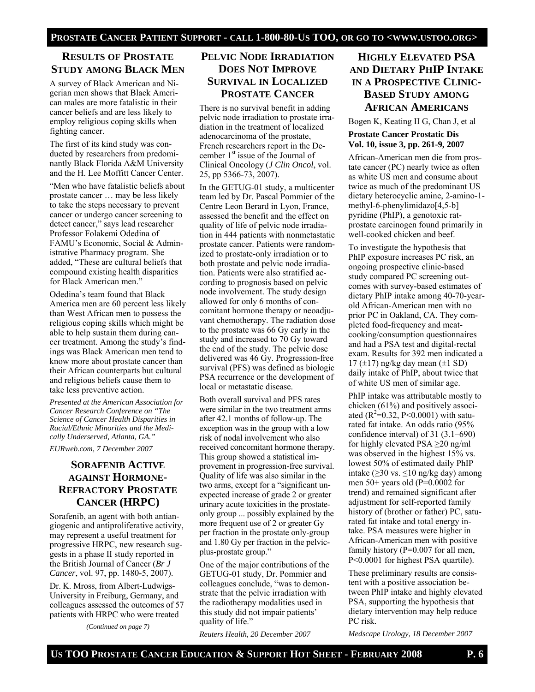## **RESULTS OF PROSTATE STUDY AMONG BLACK MEN**

A survey of Black American and Nigerian men shows that Black American males are more fatalistic in their cancer beliefs and are less likely to employ religious coping skills when fighting cancer.

The first of its kind study was conducted by researchers from predominantly Black Florida A&M University and the H. Lee Moffitt Cancer Center.

"Men who have fatalistic beliefs about prostate cancer … may be less likely to take the steps necessary to prevent cancer or undergo cancer screening to detect cancer," says lead researcher Professor Folakemi Odedina of FAMU's Economic, Social & Administrative Pharmacy program. She added, "These are cultural beliefs that compound existing health disparities for Black American men."

Odedina's team found that Black America men are 60 percent less likely than West African men to possess the religious coping skills which might be able to help sustain them during cancer treatment. Among the study's findings was Black American men tend to know more about prostate cancer than their African counterparts but cultural and religious beliefs cause them to take less preventive action.

*Presented at the American Association for Cancer Research Conference on "The Science of Cancer Health Disparities in Racial/Ethnic Minorities and the Medically Underserved, Atlanta, GA."* 

*EURweb.com, 7 December 2007* 

## **SORAFENIB ACTIVE AGAINST HORMONE-REFRACTORY PROSTATE CANCER (HRPC)**

Sorafenib, an agent with both antiangiogenic and antiproliferative activity, may represent a useful treatment for progressive HRPC, new research suggests in a phase II study reported in the British Journal of Cancer (*Br J Cancer*, vol. 97, pp. 1480-5, 2007).

Dr. K. Mross, from Albert-Ludwigs-University in Freiburg, Germany, and colleagues assessed the outcomes of 57 patients with HRPC who were treated

*(Continued on page 7)* 

## **PELVIC NODE IRRADIATION DOES NOT IMPROVE SURVIVAL IN LOCALIZED PROSTATE CANCER**

There is no survival benefit in adding pelvic node irradiation to prostate irradiation in the treatment of localized adenocarcinoma of the prostate, French researchers report in the December 1<sup>st</sup> issue of the Journal of Clinical Oncology (*J Clin Oncol*, vol. 25, pp 5366-73, 2007).

In the GETUG-01 study, a multicenter team led by Dr. Pascal Pommier of the Centre Leon Berard in Lyon, France, assessed the benefit and the effect on quality of life of pelvic node irradiation in 444 patients with nonmetastatic prostate cancer. Patients were randomized to prostate-only irradiation or to both prostate and pelvic node irradiation. Patients were also stratified according to prognosis based on pelvic node involvement. The study design allowed for only 6 months of concomitant hormone therapy or neoadjuvant chemotherapy. The radiation dose to the prostate was 66 Gy early in the study and increased to 70 Gy toward the end of the study. The pelvic dose delivered was 46 Gy. Progression-free survival (PFS) was defined as biologic PSA recurrence or the development of local or metastatic disease.

Both overall survival and PFS rates were similar in the two treatment arms after 42.1 months of follow-up. The exception was in the group with a low risk of nodal involvement who also received concomitant hormone therapy. This group showed a statistical improvement in progression-free survival. Quality of life was also similar in the two arms, except for a "significant unexpected increase of grade 2 or greater urinary acute toxicities in the prostateonly group ... possibly explained by the more frequent use of 2 or greater Gy per fraction in the prostate only-group and 1.80 Gy per fraction in the pelvicplus-prostate group."

One of the major contributions of the GETUG-01 study, Dr. Pommier and colleagues conclude, "was to demonstrate that the pelvic irradiation with the radiotherapy modalities used in this study did not impair patients' quality of life."

*Reuters Health, 20 December 2007* 

## **HIGHLY ELEVATED PSA AND DIETARY PHIP INTAKE IN A PROSPECTIVE CLINIC-BASED STUDY AMONG AFRICAN AMERICANS**

Bogen K, Keating II G, Chan J, et al

#### **Prostate Cancer Prostatic Dis Vol. 10, issue 3, pp. 261-9, 2007**

African-American men die from prostate cancer (PC) nearly twice as often as white US men and consume about twice as much of the predominant US dietary heterocyclic amine, 2-amino-1 methyl-6-phenylimidazo[4,5-b] pyridine (PhIP), a genotoxic ratprostate carcinogen found primarily in well-cooked chicken and beef.

To investigate the hypothesis that PhIP exposure increases PC risk, an ongoing prospective clinic-based study compared PC screening outcomes with survey-based estimates of dietary PhIP intake among 40-70-yearold African-American men with no prior PC in Oakland, CA. They completed food-frequency and meatcooking/consumption questionnaires and had a PSA test and digital-rectal exam. Results for 392 men indicated a 17 ( $\pm$ 17) ng/kg day mean ( $\pm$ 1 SD) daily intake of PhIP, about twice that of white US men of similar age.

PhIP intake was attributable mostly to chicken (61%) and positively associated  $(R^2=0.32, P<0.0001)$  with saturated fat intake. An odds ratio (95% confidence interval) of 31 (3.1–690) for highly elevated PSA  $\geq$ 20 ng/ml was observed in the highest 15% vs. lowest 50% of estimated daily PhIP intake (≥30 vs. ≤10 ng/kg day) among men 50+ years old (P=0.0002 for trend) and remained significant after adjustment for self-reported family history of (brother or father) PC, saturated fat intake and total energy intake. PSA measures were higher in African-American men with positive family history (P=0.007 for all men, P<0.0001 for highest PSA quartile).

These preliminary results are consistent with a positive association between PhIP intake and highly elevated PSA, supporting the hypothesis that dietary intervention may help reduce PC risk.

*Medscape Urology, 18 December 2007*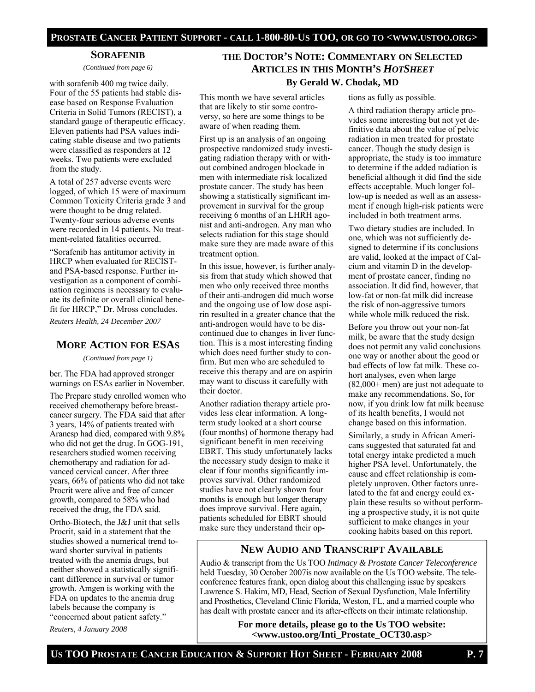#### **PROSTATE CANCER PATIENT SUPPORT - CALL 1-800-80-US TOO, OR GO TO <WWW.USTOO.ORG>**

#### **SORAFENIB**

*(Continued from page 6)* 

with sorafenib 400 mg twice daily. Four of the 55 patients had stable disease based on Response Evaluation Criteria in Solid Tumors (RECIST), a standard gauge of therapeutic efficacy. Eleven patients had PSA values indicating stable disease and two patients were classified as responders at 12 weeks. Two patients were excluded from the study.

A total of 257 adverse events were logged, of which 15 were of maximum Common Toxicity Criteria grade 3 and were thought to be drug related. Twenty-four serious adverse events were recorded in 14 patients. No treatment-related fatalities occurred.

"Sorafenib has antitumor activity in HRCP when evaluated for RECISTand PSA-based response. Further investigation as a component of combination regimens is necessary to evaluate its definite or overall clinical benefit for HRCP," Dr. Mross concludes. *Reuters Health, 24 December 2007* 

#### **MORE ACTION FOR ESAS**

*(Continued from page 1)* 

ber. The FDA had approved stronger warnings on ESAs earlier in November.

The Prepare study enrolled women who received chemotherapy before breastcancer surgery. The FDA said that after 3 years, 14% of patients treated with Aranesp had died, compared with 9.8% who did not get the drug. In GOG-191, researchers studied women receiving chemotherapy and radiation for advanced cervical cancer. After three years, 66% of patients who did not take Procrit were alive and free of cancer growth, compared to 58% who had received the drug, the FDA said.

Ortho-Biotech, the J&J unit that sells Procrit, said in a statement that the studies showed a numerical trend toward shorter survival in patients treated with the anemia drugs, but neither showed a statistically significant difference in survival or tumor growth. Amgen is working with the FDA on updates to the anemia drug labels because the company is "concerned about patient safety."

*Reuters, 4 January 2008* 

## **THE DOCTOR'S NOTE: COMMENTARY ON SELECTED ARTICLES IN THIS MONTH'S** *HOTSHEET* **By Gerald W. Chodak, MD**

This month we have several articles that are likely to stir some controversy, so here are some things to be aware of when reading them.

First up is an analysis of an ongoing prospective randomized study investigating radiation therapy with or without combined androgen blockade in men with intermediate risk localized prostate cancer. The study has been showing a statistically significant improvement in survival for the group receiving 6 months of an LHRH agonist and anti-androgen. Any man who selects radiation for this stage should make sure they are made aware of this treatment option.

In this issue, however, is further analysis from that study which showed that men who only received three months of their anti-androgen did much worse and the ongoing use of low dose aspirin resulted in a greater chance that the anti-androgen would have to be discontinued due to changes in liver function. This is a most interesting finding which does need further study to confirm. But men who are scheduled to receive this therapy and are on aspirin may want to discuss it carefully with their doctor.

Another radiation therapy article provides less clear information. A longterm study looked at a short course (four months) of hormone therapy had significant benefit in men receiving EBRT. This study unfortunately lacks the necessary study design to make it clear if four months significantly improves survival. Other randomized studies have not clearly shown four months is enough but longer therapy does improve survival. Here again, patients scheduled for EBRT should make sure they understand their options as fully as possible.

A third radiation therapy article provides some interesting but not yet definitive data about the value of pelvic radiation in men treated for prostate cancer. Though the study design is appropriate, the study is too immature to determine if the added radiation is beneficial although it did find the side effects acceptable. Much longer follow-up is needed as well as an assessment if enough high-risk patients were included in both treatment arms.

Two dietary studies are included. In one, which was not sufficiently designed to determine if its conclusions are valid, looked at the impact of Calcium and vitamin D in the development of prostate cancer, finding no association. It did find, however, that low-fat or non-fat milk did increase the risk of non-aggressive tumors while whole milk reduced the risk.

Before you throw out your non-fat milk, be aware that the study design does not permit any valid conclusions one way or another about the good or bad effects of low fat milk. These cohort analyses, even when large (82,000+ men) are just not adequate to make any recommendations. So, for now, if you drink low fat milk because of its health benefits, I would not change based on this information.

Similarly, a study in African Americans suggested that saturated fat and total energy intake predicted a much higher PSA level. Unfortunately, the cause and effect relationship is completely unproven. Other factors unrelated to the fat and energy could explain these results so without performing a prospective study, it is not quite sufficient to make changes in your cooking habits based on this report.

## **NEW AUDIO AND TRANSCRIPT AVAILABLE**

Audio & transcript from the Us TOO *Intimacy & Prostate Cancer Teleconference*  held Tuesday, 30 October 2007is now available on the Us TOO website. The teleconference features frank, open dialog about this challenging issue by speakers Lawrence S. Hakim, MD, Head, Section of Sexual Dysfunction, Male Infertility and Prosthetics, Cleveland Clinic Florida, Weston, FL, and a married couple who has dealt with prostate cancer and its after-effects on their intimate relationship.

> **For more details, please go to the Us TOO website: <www.ustoo.org/Inti\_Prostate\_OCT30.asp>**